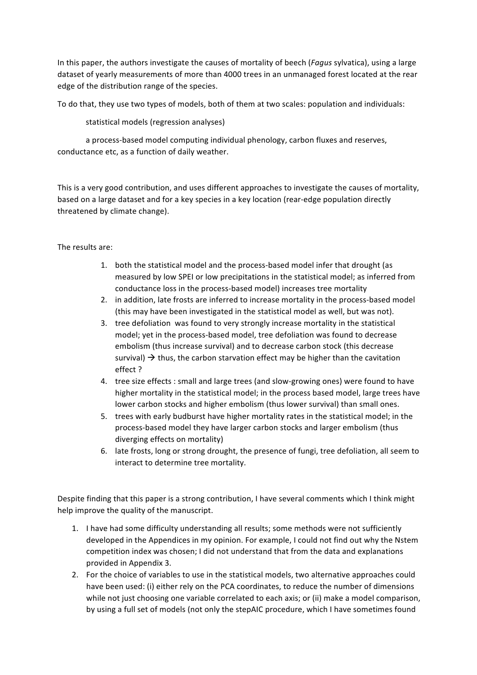In this paper, the authors investigate the causes of mortality of beech (*Fagus* sylvatica), using a large dataset of yearly measurements of more than 4000 trees in an unmanaged forest located at the rear edge of the distribution range of the species.

To do that, they use two types of models, both of them at two scales: population and individuals:

statistical models (regression analyses)

a process-based model computing individual phenology, carbon fluxes and reserves, conductance etc, as a function of daily weather.

This is a very good contribution, and uses different approaches to investigate the causes of mortality, based on a large dataset and for a key species in a key location (rear-edge population directly threatened by climate change).

The results are:

- 1. both the statistical model and the process-based model infer that drought (as measured by low SPEI or low precipitations in the statistical model; as inferred from conductance loss in the process-based model) increases tree mortality
- 2. in addition, late frosts are inferred to increase mortality in the process-based model (this may have been investigated in the statistical model as well, but was not).
- 3. tree defoliation was found to very strongly increase mortality in the statistical model; yet in the process-based model, tree defoliation was found to decrease embolism (thus increase survival) and to decrease carbon stock (this decrease survival)  $\rightarrow$  thus, the carbon starvation effect may be higher than the cavitation effect ?
- 4. tree size effects : small and large trees (and slow-growing ones) were found to have higher mortality in the statistical model; in the process based model, large trees have lower carbon stocks and higher embolism (thus lower survival) than small ones.
- 5. trees with early budburst have higher mortality rates in the statistical model; in the process-based model they have larger carbon stocks and larger embolism (thus diverging effects on mortality)
- 6. late frosts, long or strong drought, the presence of fungi, tree defoliation, all seem to interact to determine tree mortality.

Despite finding that this paper is a strong contribution, I have several comments which I think might help improve the quality of the manuscript.

- 1. I have had some difficulty understanding all results; some methods were not sufficiently developed in the Appendices in my opinion. For example, I could not find out why the Nstem competition index was chosen; I did not understand that from the data and explanations provided in Appendix 3.
- 2. For the choice of variables to use in the statistical models, two alternative approaches could have been used: (i) either rely on the PCA coordinates, to reduce the number of dimensions while not just choosing one variable correlated to each axis; or (ii) make a model comparison, by using a full set of models (not only the stepAIC procedure, which I have sometimes found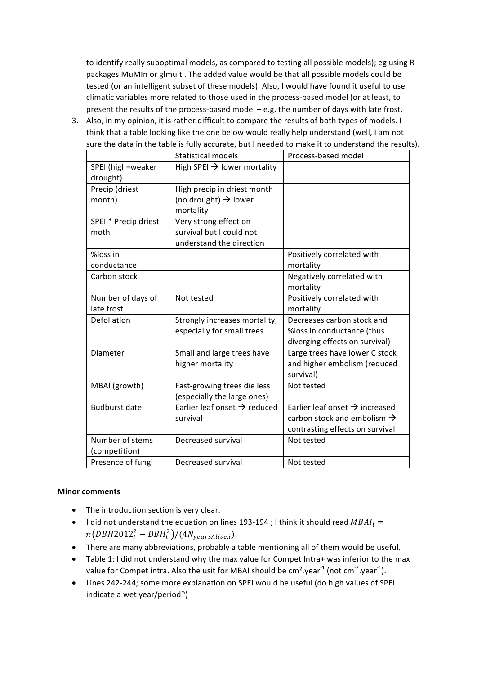to identify really suboptimal models, as compared to testing all possible models); eg using R packages MuMIn or glmulti. The added value would be that all possible models could be tested (or an intelligent subset of these models). Also, I would have found it useful to use climatic variables more related to those used in the process-based model (or at least, to present the results of the process-based model  $-$  e.g. the number of days with late frost.

3. Also, in my opinion, it is rather difficult to compare the results of both types of models. I think that a table looking like the one below would really help understand (well, I am not sure the data in the table is fully accurate, but I needed to make it to understand the results).

|                      | <b>Statistical models</b>                | Process-based model                        |
|----------------------|------------------------------------------|--------------------------------------------|
| SPEI (high=weaker    | High SPEI $\rightarrow$ lower mortality  |                                            |
| drought)             |                                          |                                            |
| Precip (driest       | High precip in driest month              |                                            |
| month)               | (no drought) $\rightarrow$ lower         |                                            |
|                      | mortality                                |                                            |
| SPEI * Precip driest | Very strong effect on                    |                                            |
| moth                 | survival but I could not                 |                                            |
|                      | understand the direction                 |                                            |
| %loss in             |                                          | Positively correlated with                 |
| conductance          |                                          | mortality                                  |
| Carbon stock         |                                          | Negatively correlated with                 |
|                      |                                          | mortality                                  |
| Number of days of    | Not tested                               | Positively correlated with                 |
| late frost           |                                          | mortality                                  |
| Defoliation          | Strongly increases mortality,            | Decreases carbon stock and                 |
|                      | especially for small trees               | %loss in conductance (thus                 |
|                      |                                          | diverging effects on survival)             |
| Diameter             | Small and large trees have               | Large trees have lower C stock             |
|                      | higher mortality                         | and higher embolism (reduced               |
|                      |                                          | survival)                                  |
| MBAI (growth)        | Fast-growing trees die less              | Not tested                                 |
|                      | (especially the large ones)              |                                            |
| <b>Budburst date</b> | Earlier leaf onset $\rightarrow$ reduced | Earlier leaf onset $\rightarrow$ increased |
|                      | survival                                 | carbon stock and embolism $\rightarrow$    |
|                      |                                          | contrasting effects on survival            |
| Number of stems      | Decreased survival                       | Not tested                                 |
| (competition)        |                                          |                                            |
| Presence of fungi    | Decreased survival                       | Not tested                                 |

## **Minor comments**

- The introduction section is very clear.
- I did not understand the equation on lines 193-194 ; I think it should read  $MBAI_i =$  $\pi\bigl(DBH2012^2_i-DBH^2_i\bigr)/(4N_{yearsAlive,i}).$
- There are many abbreviations, probably a table mentioning all of them would be useful.
- Table 1: I did not understand why the max value for Compet Intra+ was inferior to the max value for Compet intra. Also the usit for MBAI should be cm<sup>2</sup>.year $^{\text{-1}}$  (not cm $^{\text{-2}}$ .year $^{\text{-1}}$ ).
- Lines 242-244; some more explanation on SPEI would be useful (do high values of SPEI indicate a wet year/period?)